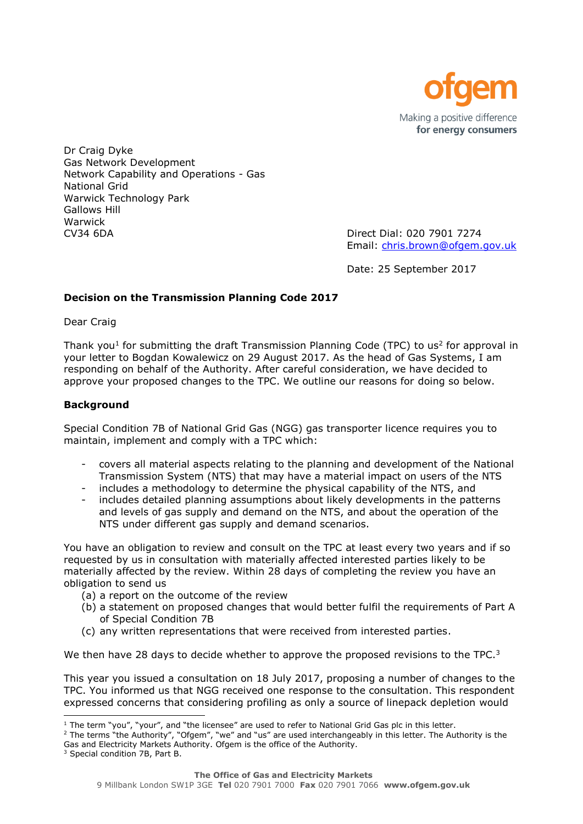

Dr Craig Dyke Gas Network Development Network Capability and Operations - Gas National Grid Warwick Technology Park Gallows Hill Warwick CV34 6DA Direct Dial: 020 7901 7274

Email: [chris.brown@ofgem.gov.uk](mailto:chris.brown@ofgem.gov.uk)

Date: 25 September 2017

# **Decision on the Transmission Planning Code 2017**

Dear Craig

Thank you<sup>1</sup> for submitting the draft Transmission Planning Code (TPC) to us<sup>2</sup> for approval in your letter to Bogdan Kowalewicz on 29 August 2017. As the head of Gas Systems, I am responding on behalf of the Authority. After careful consideration, we have decided to approve your proposed changes to the TPC. We outline our reasons for doing so below.

## **Background**

Special Condition 7B of National Grid Gas (NGG) gas transporter licence requires you to maintain, implement and comply with a TPC which:

- covers all material aspects relating to the planning and development of the National Transmission System (NTS) that may have a material impact on users of the NTS
- includes a methodology to determine the physical capability of the NTS, and
- includes detailed planning assumptions about likely developments in the patterns and levels of gas supply and demand on the NTS, and about the operation of the NTS under different gas supply and demand scenarios.

You have an obligation to review and consult on the TPC at least every two years and if so requested by us in consultation with materially affected interested parties likely to be materially affected by the review. Within 28 days of completing the review you have an obligation to send us

- (a) a report on the outcome of the review
- (b) a statement on proposed changes that would better fulfil the requirements of Part A of Special Condition 7B
- (c) any written representations that were received from interested parties.

We then have 28 days to decide whether to approve the proposed revisions to the TPC. $3$ 

This year you issued a consultation on 18 July 2017, proposing a number of changes to the TPC. You informed us that NGG received one response to the consultation. This respondent expressed concerns that considering profiling as only a source of linepack depletion would

<sup>2</sup> The terms "the Authority", "Ofgem", "we" and "us" are used interchangeably in this letter. The Authority is the Gas and Electricity Markets Authority. Ofgem is the office of the Authority.

l  $<sup>1</sup>$  The term "you", "your", and "the licensee" are used to refer to National Grid Gas plc in this letter.</sup>

<sup>&</sup>lt;sup>3</sup> Special condition 7B, Part B.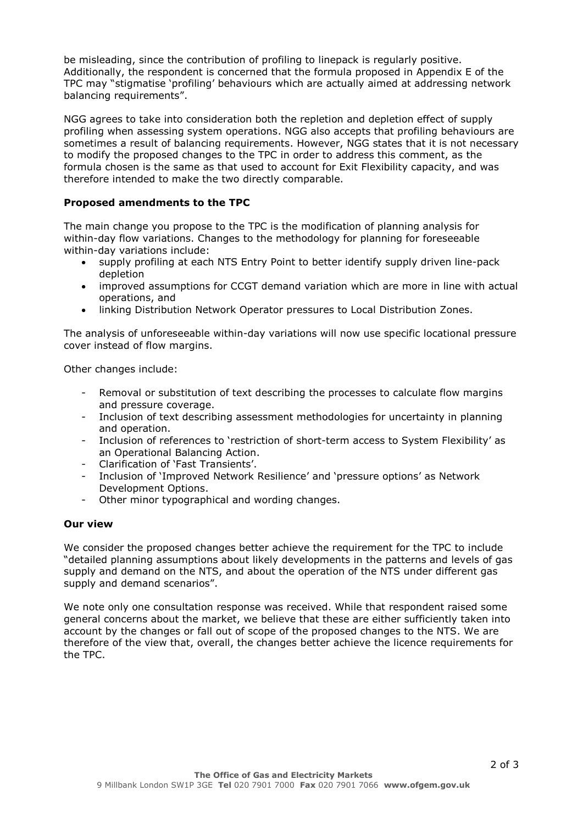be misleading, since the contribution of profiling to linepack is regularly positive. Additionally, the respondent is concerned that the formula proposed in Appendix E of the TPC may "stigmatise 'profiling' behaviours which are actually aimed at addressing network balancing requirements".

NGG agrees to take into consideration both the repletion and depletion effect of supply profiling when assessing system operations. NGG also accepts that profiling behaviours are sometimes a result of balancing requirements. However, NGG states that it is not necessary to modify the proposed changes to the TPC in order to address this comment, as the formula chosen is the same as that used to account for Exit Flexibility capacity, and was therefore intended to make the two directly comparable.

# **Proposed amendments to the TPC**

The main change you propose to the TPC is the modification of planning analysis for within-day flow variations. Changes to the methodology for planning for foreseeable within-day variations include:

- supply profiling at each NTS Entry Point to better identify supply driven line-pack depletion
- improved assumptions for CCGT demand variation which are more in line with actual operations, and
- linking Distribution Network Operator pressures to Local Distribution Zones.

The analysis of unforeseeable within-day variations will now use specific locational pressure cover instead of flow margins.

Other changes include:

- Removal or substitution of text describing the processes to calculate flow margins and pressure coverage.
- Inclusion of text describing assessment methodologies for uncertainty in planning and operation.
- Inclusion of references to 'restriction of short-term access to System Flexibility' as an Operational Balancing Action.
- Clarification of 'Fast Transients'.
- Inclusion of 'Improved Network Resilience' and 'pressure options' as Network Development Options.
- Other minor typographical and wording changes.

#### **Our view**

We consider the proposed changes better achieve the requirement for the TPC to include "detailed planning assumptions about likely developments in the patterns and levels of gas supply and demand on the NTS, and about the operation of the NTS under different gas supply and demand scenarios".

We note only one consultation response was received. While that respondent raised some general concerns about the market, we believe that these are either sufficiently taken into account by the changes or fall out of scope of the proposed changes to the NTS. We are therefore of the view that, overall, the changes better achieve the licence requirements for the TPC.